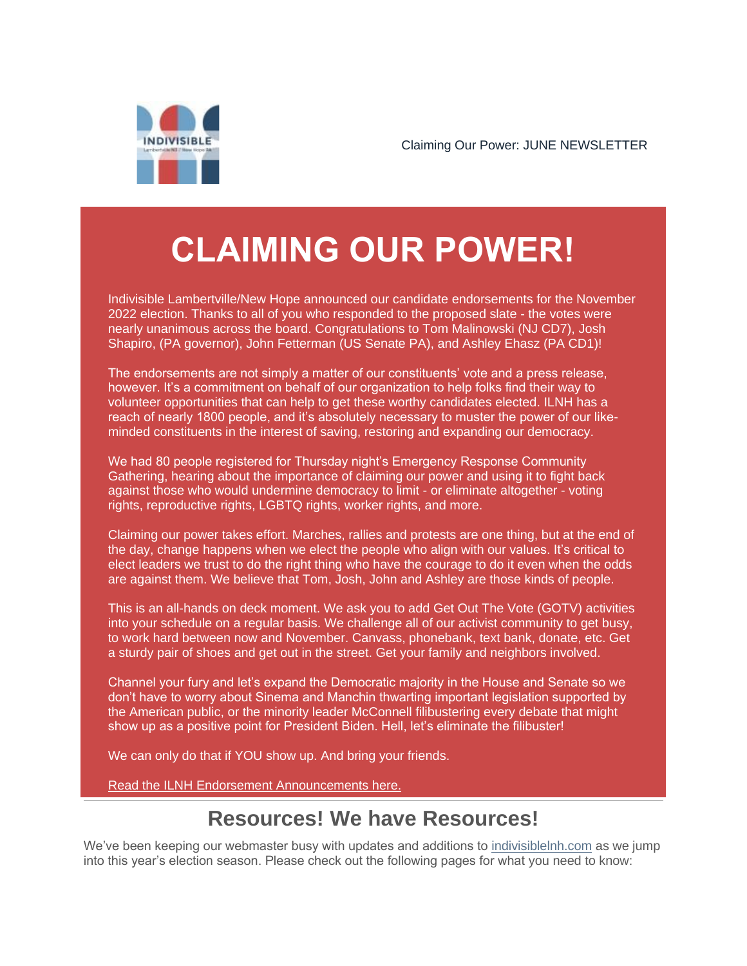

## **CLAIMING OUR POWER!**

Indivisible Lambertville/New Hope announced our candidate endorsements for the November 2022 election. Thanks to all of you who responded to the proposed slate - the votes were nearly unanimous across the board. Congratulations to Tom Malinowski (NJ CD7), Josh Shapiro, (PA governor), John Fetterman (US Senate PA), and Ashley Ehasz (PA CD1)!

The endorsements are not simply a matter of our constituents' vote and a press release, however. It's a commitment on behalf of our organization to help folks find their way to volunteer opportunities that can help to get these worthy candidates elected. ILNH has a reach of nearly 1800 people, and it's absolutely necessary to muster the power of our likeminded constituents in the interest of saving, restoring and expanding our democracy.

We had 80 people registered for Thursday night's Emergency Response Community Gathering, hearing about the importance of claiming our power and using it to fight back against those who would undermine democracy to limit - or eliminate altogether - voting rights, reproductive rights, LGBTQ rights, worker rights, and more.

Claiming our power takes effort. Marches, rallies and protests are one thing, but at the end of the day, change happens when we elect the people who align with our values. It's critical to elect leaders we trust to do the right thing who have the courage to do it even when the odds are against them. We believe that Tom, Josh, John and Ashley are those kinds of people.

This is an all-hands on deck moment. We ask you to add Get Out The Vote (GOTV) activities into your schedule on a regular basis. We challenge all of our activist community to get busy, to work hard between now and November. Canvass, phonebank, text bank, donate, etc. Get a sturdy pair of shoes and get out in the street. Get your family and neighbors involved.

Channel your fury and let's expand the Democratic majority in the House and Senate so we don't have to worry about Sinema and Manchin thwarting important legislation supported by the American public, or the minority leader McConnell filibustering every debate that might show up as a positive point for President Biden. Hell, let's eliminate the filibuster!

We can only do that if YOU show up. And bring your friends.

Read the ILNH Endorsement Announcements here.

## **Resources! We have Resources!**

We've been keeping our webmaster busy with updates and additions to indivisiblelnh.com as we jump into this year's election season. Please check out the following pages for what you need to know: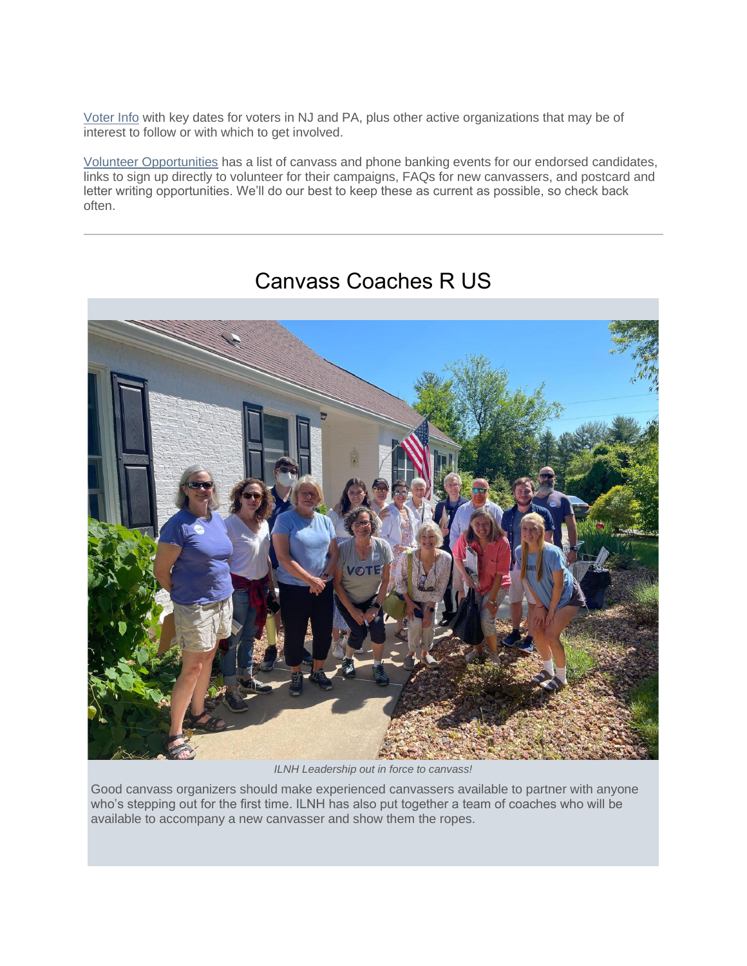[Voter Info](https://indivisiblelnh.com/voter-information-2022/?emci=3f8a9fd6-0de5-ec11-b656-281878b85110&emdi=ea000000-0000-0000-0000-000000000001&ceid=) with key dates for voters in NJ and PA, plus other active organizations that may be of interest to follow or with which to get involved.

[Volunteer Opportunities](https://indivisiblelnh.com/volunteer-opportunities/?emci=3f8a9fd6-0de5-ec11-b656-281878b85110&emdi=ea000000-0000-0000-0000-000000000001&ceid=) has a list of canvass and phone banking events for our endorsed candidates, links to sign up directly to volunteer for their campaigns, FAQs for new canvassers, and postcard and letter writing opportunities. We'll do our best to keep these as current as possible, so check back often.



## Canvass Coaches R US

*ILNH Leadership out in force to canvass!*

Good canvass organizers should make experienced canvassers available to partner with anyone who's stepping out for the first time. ILNH has also put together a team of coaches who will be available to accompany a new canvasser and show them the ropes.